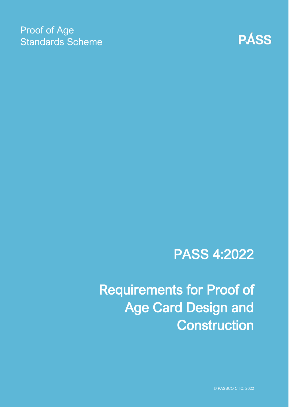### Proof of Age Standards Scheme



# PASS 4:2022

Requirements for Proof of Age Card Design and **Construction** 

© PASSCO C.I.C. 2022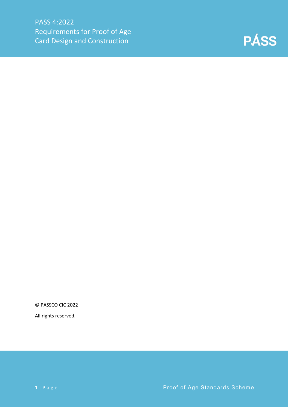

© PASSCO CIC 2022

All rights reserved.

**1** | Page **Proof of Age Standards Scheme**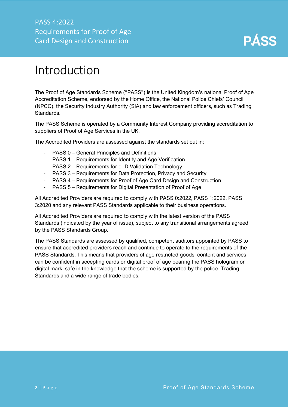### <span id="page-2-0"></span>Introduction

The Proof of Age Standards Scheme ("PASS") is the United Kingdom's national Proof of Age Accreditation Scheme, endorsed by the Home Office, the National Police Chiefs' Council (NPCC), the Security Industry Authority (SIA) and law enforcement officers, such as Trading Standards.

The PASS Scheme is operated by a Community Interest Company providing accreditation to suppliers of Proof of Age Services in the UK.

The Accredited Providers are assessed against the standards set out in:

- PASS 0 General Principles and Definitions
- PASS 1 Requirements for Identity and Age Verification
- PASS 2 Requirements for e-ID Validation Technology
- PASS 3 Requirements for Data Protection, Privacy and Security
- PASS 4 Requirements for Proof of Age Card Design and Construction
- PASS 5 Requirements for Digital Presentation of Proof of Age

All Accredited Providers are required to comply with PASS 0:2022, PASS 1:2022, PASS 3:2020 and any relevant PASS Standards applicable to their business operations.

All Accredited Providers are required to comply with the latest version of the PASS Standards (indicated by the year of issue), subject to any transitional arrangements agreed by the PASS Standards Group.

The PASS Standards are assessed by qualified, competent auditors appointed by PASS to ensure that accredited providers reach and continue to operate to the requirements of the PASS Standards. This means that providers of age restricted goods, content and services can be confident in accepting cards or digital proof of age bearing the PASS hologram or digital mark, safe in the knowledge that the scheme is supported by the police, Trading Standards and a wide range of trade bodies.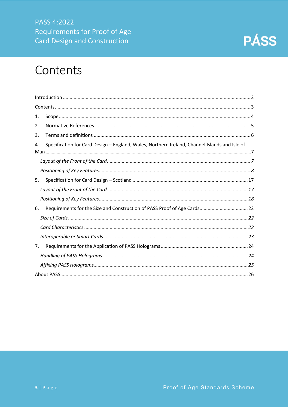

### <span id="page-3-0"></span>Contents

| 1.                                                                                                  |
|-----------------------------------------------------------------------------------------------------|
| 2.                                                                                                  |
| 3.                                                                                                  |
| Specification for Card Design - England, Wales, Northern Ireland, Channel Islands and Isle of<br>4. |
|                                                                                                     |
|                                                                                                     |
| 5.                                                                                                  |
|                                                                                                     |
|                                                                                                     |
| 6.                                                                                                  |
|                                                                                                     |
|                                                                                                     |
|                                                                                                     |
| 7.                                                                                                  |
|                                                                                                     |
|                                                                                                     |
|                                                                                                     |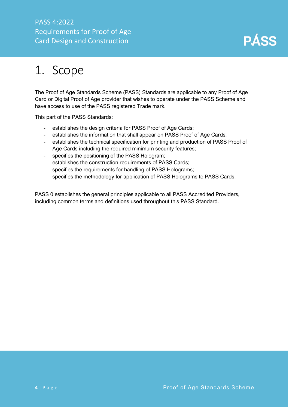### PASS 4:2022 Requirements for Proof of Age Card Design and Construction



# <span id="page-4-0"></span>1. Scope

The Proof of Age Standards Scheme (PASS) Standards are applicable to any Proof of Age Card or Digital Proof of Age provider that wishes to operate under the PASS Scheme and have access to use of the PASS registered Trade mark.

This part of the PASS Standards:

- establishes the design criteria for PASS Proof of Age Cards;
- establishes the information that shall appear on PASS Proof of Age Cards;
- establishes the technical specification for printing and production of PASS Proof of Age Cards including the required minimum security features;
- specifies the positioning of the PASS Hologram;
- establishes the construction requirements of PASS Cards;
- specifies the requirements for handling of PASS Holograms;
- specifies the methodology for application of PASS Holograms to PASS Cards.

PASS 0 establishes the general principles applicable to all PASS Accredited Providers, including common terms and definitions used throughout this PASS Standard.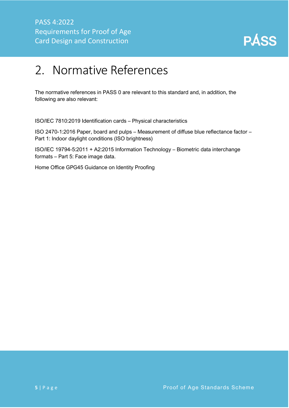

# <span id="page-5-0"></span>2. Normative References

The normative references in PASS 0 are relevant to this standard and, in addition, the following are also relevant:

ISO/IEC 7810:2019 Identification cards – Physical characteristics

ISO 2470-1:2016 Paper, board and pulps – Measurement of diffuse blue reflectance factor – Part 1: Indoor daylight conditions (ISO brightness)

ISO/IEC 19794-5:2011 + A2:2015 Information Technology – Biometric data interchange formats – Part 5: Face image data.

Home Office GPG45 Guidance on Identity Proofing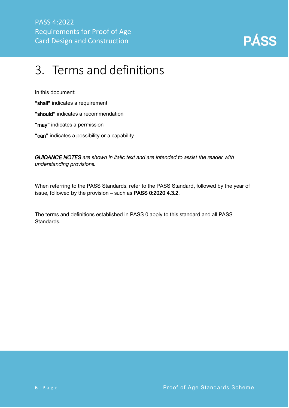

# <span id="page-6-0"></span>3. Terms and definitions

In this document:

"shall" indicates a requirement

"should" indicates a recommendation

"may" indicates a permission

"can" indicates a possibility or a capability

*GUIDANCE NOTES are shown in italic text and are intended to assist the reader with understanding provisions.*

When referring to the PASS Standards, refer to the PASS Standard, followed by the year of issue, followed by the provision – such as PASS 0:2020 4.3.2.

The terms and definitions established in PASS 0 apply to this standard and all PASS Standards.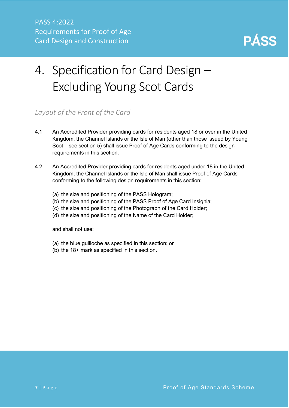

# <span id="page-7-0"></span>4. Specification for Card Design – Excluding Young Scot Cards

#### <span id="page-7-1"></span>*Layout of the Front of the Card*

- 4.1 An Accredited Provider providing cards for residents aged 18 or over in the United Kingdom, the Channel Islands or the Isle of Man (other than those issued by Young Scot – see section 5) shall issue Proof of Age Cards conforming to the design requirements in this section.
- 4.2 An Accredited Provider providing cards for residents aged under 18 in the United Kingdom, the Channel Islands or the Isle of Man shall issue Proof of Age Cards conforming to the following design requirements in this section:
	- (a) the size and positioning of the PASS Hologram;
	- (b) the size and positioning of the PASS Proof of Age Card Insignia;
	- (c) the size and positioning of the Photograph of the Card Holder;
	- (d) the size and positioning of the Name of the Card Holder;

and shall not use:

- (a) the blue guilloche as specified in this section; or
- (b) the 18+ mark as specified in this section.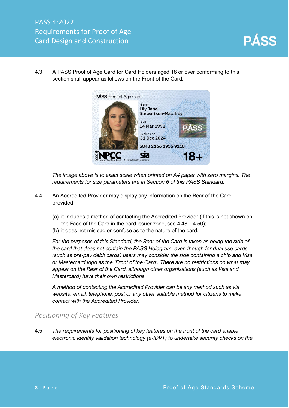4.3 A PASS Proof of Age Card for Card Holders aged 18 or over conforming to this section shall appear as follows on the Front of the Card.



*The image above is to exact scale when printed on A4 paper with zero margins. The requirements for size parameters are in Section 6 of this PASS Standard.*

- 4.4 An Accredited Provider may display any information on the Rear of the Card provided:
	- (a) it includes a method of contacting the Accredited Provider (if this is not shown on the Face of the Card in the card issuer zone, see 4.48 – 4.50);
	- (b) it does not mislead or confuse as to the nature of the card.

*For the purposes of this Standard, the Rear of the Card is taken as being the side of the card that does not contain the PASS Hologram, even though for dual use cards (such as pre-pay debit cards) users may consider the side containing a chip and Visa or Mastercard logo as the 'Front of the Card'. There are no restrictions on what may appear on the Rear of the Card, although other organisations (such as Visa and Mastercard) have their own restrictions.*

*A method of contacting the Accredited Provider can be any method such as via website, email, telephone, post or any other suitable method for citizens to make contact with the Accredited Provider.*

#### <span id="page-8-0"></span>*Positioning of Key Features*

4.5 *The requirements for positioning of key features on the front of the card enable electronic identity validation technology (e-IDVT) to undertake security checks on the*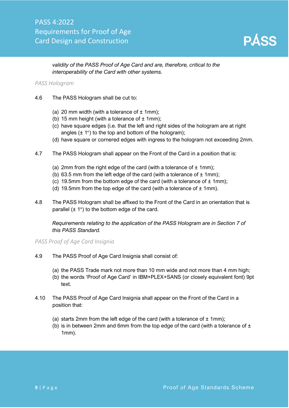

#### *validity of the PASS Proof of Age Card and are, therefore, critical to the interoperability of the Card with other systems.*

#### *PASS Hologram*

- 4.6 The PASS Hologram shall be cut to:
	- (a) 20 mm width (with a tolerance of  $\pm$  1mm);
	- (b) 15 mm height (with a tolerance of  $\pm$  1mm);
	- (c) have square edges (i.e. that the left and right sides of the hologram are at right angles  $(\pm 1^{\circ})$  to the top and bottom of the hologram);
	- (d) have square or cornered edges with ingress to the hologram not exceeding 2mm.
- 4.7 The PASS Hologram shall appear on the Front of the Card in a position that is:
	- (a) 2mm from the right edge of the card (with a tolerance of  $\pm$  1mm);
	- (b) 63.5 mm from the left edge of the card (with a tolerance of  $\pm$  1mm);
	- (c) 19.5mm from the bottom edge of the card (with a tolerance of  $\pm$  1mm);
	- (d) 19.5mm from the top edge of the card (with a tolerance of  $\pm$  1mm).
- 4.8 The PASS Hologram shall be affixed to the Front of the Card in an orientation that is parallel  $(\pm 1^{\circ})$  to the bottom edge of the card.

*Requirements relating to the application of the PASS Hologram are in Section 7 of this PASS Standard.*

*PASS Proof of Age Card Insignia*

- 4.9 The PASS Proof of Age Card Insignia shall consist of:
	- (a) the PASS Trade mark not more than 10 mm wide and not more than 4 mm high;
	- (b) the words 'Proof of Age Card' in IBM+PLEX+SANS (or closely equivalent font) 9pt text.
- 4.10 The PASS Proof of Age Card Insignia shall appear on the Front of the Card in a position that:
	- (a) starts 2mm from the left edge of the card (with a tolerance of  $\pm$  1mm);
	- (b) is in between 2mm and 6mm from the top edge of the card (with a tolerance of  $\pm$ 1mm).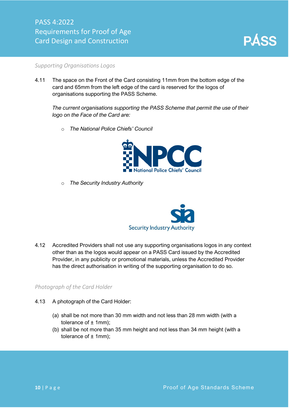

#### *Supporting Organisations Logos*

4.11 The space on the Front of the Card consisting 11mm from the bottom edge of the card and 65mm from the left edge of the card is reserved for the logos of organisations supporting the PASS Scheme.

*The current organisations supporting the PASS Scheme that permit the use of their logo on the Face of the Card are:*

o *The National Police Chiefs' Council*



o *The Security Industry Authority*



4.12 Accredited Providers shall not use any supporting organisations logos in any context other than as the logos would appear on a PASS Card issued by the Accredited Provider, in any publicity or promotional materials, unless the Accredited Provider has the direct authorisation in writing of the supporting organisation to do so.

#### *Photograph of the Card Holder*

- 4.13 A photograph of the Card Holder:
	- (a) shall be not more than 30 mm width and not less than 28 mm width (with a tolerance of  $± 1$ mm);
	- (b) shall be not more than 35 mm height and not less than 34 mm height (with a tolerance of  $\pm$  1mm);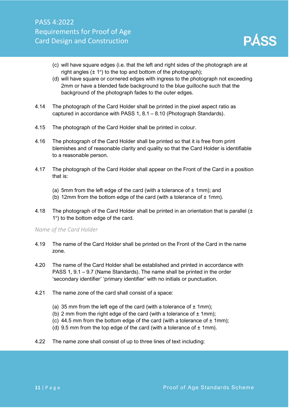- (c) will have square edges (i.e. that the left and right sides of the photograph are at right angles  $(\pm 1^{\circ})$  to the top and bottom of the photograph);
- (d) will have square or cornered edges with ingress to the photograph not exceeding 2mm or have a blended fade background to the blue guilloche such that the background of the photograph fades to the outer edges.
- 4.14 The photograph of the Card Holder shall be printed in the pixel aspect ratio as captured in accordance with PASS 1, 8.1 – 8.10 (Photograph Standards).
- 4.15 The photograph of the Card Holder shall be printed in colour.
- 4.16 The photograph of the Card Holder shall be printed so that it is free from print blemishes and of reasonable clarity and quality so that the Card Holder is identifiable to a reasonable person.
- 4.17 The photograph of the Card Holder shall appear on the Front of the Card in a position that is:
	- (a) 5mm from the left edge of the card (with a tolerance of  $\pm$  1mm); and
	- (b) 12mm from the bottom edge of the card (with a tolerance of  $\pm$  1mm).
- 4.18 The photograph of the Card Holder shall be printed in an orientation that is parallel ( $\pm$ 1°) to the bottom edge of the card.

#### *Name of the Card Holder*

- 4.19 The name of the Card Holder shall be printed on the Front of the Card in the name zone.
- 4.20 The name of the Card Holder shall be established and printed in accordance with PASS 1, 9.1 – 9.7 (Name Standards). The name shall be printed in the order 'secondary identifier' 'primary identifier' with no initials or punctuation.
- 4.21 The name zone of the card shall consist of a space:
	- (a) 35 mm from the left ege of the card (with a tolerance of  $\pm$  1mm);
	- (b) 2 mm from the right edge of the card (with a tolerance of  $\pm$  1mm);
	- (c) 44.5 mm from the bottom edge of the card (with a tolerance of  $\pm$  1mm);
	- (d) 9.5 mm from the top edge of the card (with a tolerance of  $\pm$  1mm).
- 4.22 The name zone shall consist of up to three lines of text including: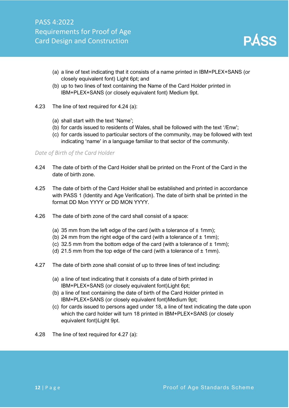

- (a) a line of text indicating that it consists of a name printed in IBM+PLEX+SANS (or closely equivalent font) Light 6pt; and
- (b) up to two lines of text containing the Name of the Card Holder printed in IBM+PLEX+SANS (or closely equivalent font) Medium 9pt.
- 4.23 The line of text required for 4.24 (a):
	- (a) shall start with the text 'Name';
	- (b) for cards issued to residents of Wales, shall be followed with the text '/Enw';
	- (c) for cards issued to particular sectors of the community, may be followed with text indicating 'name' in a language familiar to that sector of the community.

#### *Date of Birth of the Card Holder*

- 4.24 The date of birth of the Card Holder shall be printed on the Front of the Card in the date of birth zone.
- 4.25 The date of birth of the Card Holder shall be established and printed in accordance with PASS 1 (Identity and Age Verification). The date of birth shall be printed in the format DD Mon YYYY or DD MON YYYY.
- 4.26 The date of birth zone of the card shall consist of a space:
	- (a) 35 mm from the left edge of the card (with a tolerance of  $\pm$  1mm);
	- (b) 24 mm from the right edge of the card (with a tolerance of  $\pm$  1mm);
	- (c) 32.5 mm from the bottom edge of the card (with a tolerance of  $\pm$  1mm);
	- (d) 21.5 mm from the top edge of the card (with a tolerance of  $\pm$  1mm).
- 4.27 The date of birth zone shall consist of up to three lines of text including:
	- (a) a line of text indicating that it consists of a date of birth printed in IBM+PLEX+SANS (or closely equivalent font)Light 6pt;
	- (b) a line of text containing the date of birth of the Card Holder printed in IBM+PLEX+SANS (or closely equivalent font)Medium 9pt;
	- (c) for cards issued to persons aged under 18, a line of text indicating the date upon which the card holder will turn 18 printed in IBM+PLEX+SANS (or closely equivalent font)Light 9pt.
- 4.28 The line of text required for 4.27 (a):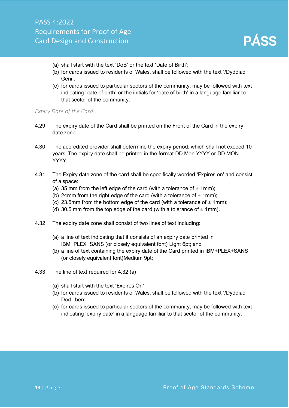- (a) shall start with the text 'DoB' or the text 'Date of Birth';
- (b) for cards issued to residents of Wales, shall be followed with the text '/Dyddiad Geni';
- (c) for cards issued to particular sectors of the community, may be followed with text indicating 'date of birth' or the initials for 'date of birth' in a language familiar to that sector of the community.

#### *Expiry Date of the Card*

- 4.29 The expiry date of the Card shall be printed on the Front of the Card in the expiry date zone.
- 4.30 The accredited provider shall determine the expiry period, which shall not exceed 10 years. The expiry date shall be printed in the format DD Mon YYYY or DD MON YYYY.
- 4.31 The Expiry date zone of the card shall be specifically worded 'Expires on' and consist of a space:
	- (a) 35 mm from the left edge of the card (with a tolerance of  $\pm$  1mm);
	- (b) 24mm from the right edge of the card (with a tolerance of  $\pm$  1mm);
	- (c) 23.5mm from the bottom edge of the card (with a tolerance of  $\pm$  1mm);
	- (d) 30.5 mm from the top edge of the card (with a tolerance of  $\pm$  1mm).
- 4.32 The expiry date zone shall consist of two lines of text including:
	- (a) a line of text indicating that it consists of an expiry date printed in IBM+PLEX+SANS (or closely equivalent font) Light 6pt; and
	- (b) a line of text containing the expiry date of the Card printed in IBM+PLEX+SANS (or closely equivalent font)Medium 9pt;
- 4.33 The line of text required for 4.32 (a)
	- (a) shall start with the text 'Expires On'
	- (b) for cards issued to residents of Wales, shall be followed with the text '/Dyddiad Dod i ben;
	- (c) for cards issued to particular sectors of the community, may be followed with text indicating 'expiry date' in a language familiar to that sector of the community.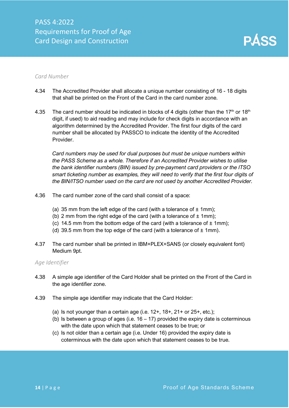#### *Card Number*

- 4.34 The Accredited Provider shall allocate a unique number consisting of 16 18 digits that shall be printed on the Front of the Card in the card number zone.
- 4.35 The card number should be indicated in blocks of 4 digits (other than the 17<sup>th</sup> or 18<sup>th</sup> digit, if used) to aid reading and may include for check digits in accordance with an algorithm determined by the Accredited Provider. The first four digits of the card number shall be allocated by PASSCO to indicate the identity of the Accredited Provider.

*Card numbers may be used for dual purposes but must be unique numbers within the PASS Scheme as a whole. Therefore if an Accredited Provider wishes to utilise the bank identifier numbers (BIN) issued by pre-payment card providers or the ITSO smart ticketing number as examples, they will need to verify that the first four digits of the BIN/ITSO number used on the card are not used by another Accredited Provider.*

- 4.36 The card number zone of the card shall consist of a space:
	- (a) 35 mm from the left edge of the card (with a tolerance of  $\pm$  1mm);
	- (b) 2 mm from the right edge of the card (with a tolerance of  $\pm$  1mm);
	- (c) 14.5 mm from the bottom edge of the card (with a tolerance of  $\pm$  1mm);
	- (d) 39.5 mm from the top edge of the card (with a tolerance of  $\pm$  1mm).
- 4.37 The card number shall be printed in IBM+PLEX+SANS (or closely equivalent font) Medium 9pt.

#### *Age Identifier*

- 4.38 A simple age identifier of the Card Holder shall be printed on the Front of the Card in the age identifier zone.
- 4.39 The simple age identifier may indicate that the Card Holder:
	- (a) Is not younger than a certain age (i.e.  $12+$ ,  $18+$ ,  $21+$  or  $25+$ , etc.);
	- (b) Is between a group of ages (i.e.  $16 17$ ) provided the expiry date is coterminous with the date upon which that statement ceases to be true; or
	- (c) Is not older than a certain age (i.e. Under 16) provided the expiry date is coterminous with the date upon which that statement ceases to be true.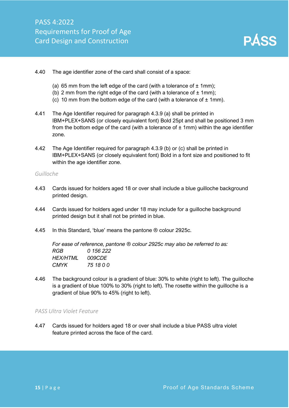

#### 4.40 The age identifier zone of the card shall consist of a space:

- (a) 65 mm from the left edge of the card (with a tolerance of  $\pm$  1mm);
- (b) 2 mm from the right edge of the card (with a tolerance of  $\pm$  1mm);
- (c) 10 mm from the bottom edge of the card (with a tolerance of  $\pm$  1mm).
- 4.41 The Age Identifier required for paragraph 4.3.9 (a) shall be printed in IBM+PLEX+SANS (or closely equivalent font) Bold 25pt and shall be positioned 3 mm from the bottom edge of the card (with a tolerance of  $\pm$  1mm) within the age identifier zone.
- 4.42 The Age Identifier required for paragraph 4.3.9 (b) or (c) shall be printed in IBM+PLEX+SANS (or closely equivalent font) Bold in a font size and positioned to fit within the age identifier zone.

#### *Guilloche*

- 4.43 Cards issued for holders aged 18 or over shall include a blue guilloche background printed design.
- 4.44 Cards issued for holders aged under 18 may include for a guilloche background printed design but it shall not be printed in blue.
- 4.45 In this Standard, 'blue' means the pantone ® colour 2925c.

*For ease of reference, pantone ® colour 2925c may also be referred to as: RGB 0 156 222 HEX/HTML 009CDE CMYK 75 18 0 0*

4.46 The background colour is a gradient of blue: 30% to white (right to left). The guilloche is a gradient of blue 100% to 30% (right to left). The rosette within the guilloche is a gradient of blue 90% to 45% (right to left).

#### *PASS Ultra Violet Feature*

4.47 Cards issued for holders aged 18 or over shall include a blue PASS ultra violet feature printed across the face of the card.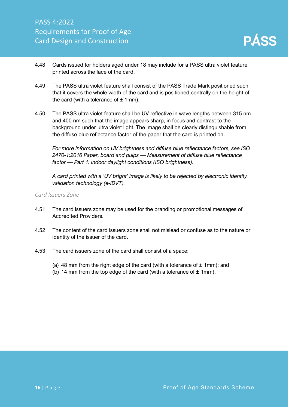- 4.48 Cards issued for holders aged under 18 may include for a PASS ultra violet feature printed across the face of the card.
- 4.49 The PASS ultra violet feature shall consist of the PASS Trade Mark positioned such that it covers the whole width of the card and is positioned centrally on the height of the card (with a tolerance of  $\pm$  1mm).
- 4.50 The PASS ultra violet feature shall be UV reflective in wave lengths between 315 nm and 400 nm such that the image appears sharp, in focus and contrast to the background under ultra violet light. The image shall be clearly distinguishable from the diffuse blue reflectance factor of the paper that the card is printed on.

*For more information on UV brightness and diffuse blue reflectance factors, see ISO 2470-1:2016 Paper, board and pulps — Measurement of diffuse blue reflectance factor — Part 1: Indoor daylight conditions (ISO brightness).* 

*A card printed with a 'UV bright' image is likely to be rejected by electronic identity validation technology (e-IDVT).*

*Card Issuers Zone*

- 4.51 The card issuers zone may be used for the branding or promotional messages of Accredited Providers.
- 4.52 The content of the card issuers zone shall not mislead or confuse as to the nature or identity of the issuer of the card.
- <span id="page-16-0"></span>4.53 The card issuers zone of the card shall consist of a space:
	- (a) 48 mm from the right edge of the card (with a tolerance of  $\pm$  1mm); and
	- (b) 14 mm from the top edge of the card (with a tolerance of  $\pm$  1mm).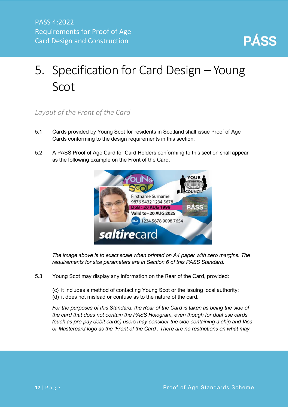

# 5. Specification for Card Design – Young Scot

#### <span id="page-17-0"></span>*Layout of the Front of the Card*

- 5.1 Cards provided by Young Scot for residents in Scotland shall issue Proof of Age Cards conforming to the design requirements in this section.
- 5.2 A PASS Proof of Age Card for Card Holders conforming to this section shall appear as the following example on the Front of the Card.



*The image above is to exact scale when printed on A4 paper with zero margins. The requirements for size parameters are in Section 6 of this PASS Standard.*

- 5.3 Young Scot may display any information on the Rear of the Card, provided:
	- (c) it includes a method of contacting Young Scot or the issuing local authority;
	- (d) it does not mislead or confuse as to the nature of the card.

*For the purposes of this Standard, the Rear of the Card is taken as being the side of the card that does not contain the PASS Hologram, even though for dual use cards (such as pre-pay debit cards) users may consider the side containing a chip and Visa or Mastercard logo as the 'Front of the Card'. There are no restrictions on what may*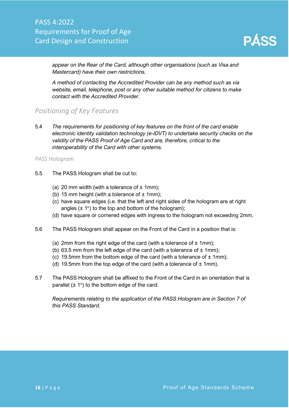

*appear on the Rear of the Card, although other organisations (such as Visa and Mastercard) have their own restrictions.*

*A method of contacting the Accredited Provider can be any method such as via website, email, telephone, post or any other suitable method for citizens to make contact with the Accredited Provider.*

#### <span id="page-18-0"></span>*Positioning of Key Features*

5.4 *The requirements for positioning of key features on the front of the card enable electronic identity validation technology (e-IDVT) to undertake security checks on the validity of the PASS Proof of Age Card and are, therefore, critical to the interoperability of the Card with other systems.*

#### *PASS Hologram*

- 5.5 The PASS Hologram shall be cut to:
	- (a) 20 mm width (with a tolerance of  $\pm$  1mm);
	- (b) 15 mm height (with a tolerance of  $\pm$  1mm);
	- (c) have square edges (i.e. that the left and right sides of the hologram are at right angles  $(\pm 1^{\circ})$  to the top and bottom of the hologram);
	- (d) have square or cornered edges with ingress to the hologram not exceeding 2mm.
- 5.6 The PASS Hologram shall appear on the Front of the Card in a position that is:
	- (a) 2mm from the right edge of the card (with a tolerance of  $\pm$  1mm);
	- (b) 63.5 mm from the left edge of the card (with a tolerance of  $\pm$  1mm);
	- (c) 19.5mm from the bottom edge of the card (with a tolerance of  $\pm$  1mm);
	- (d) 19.5mm from the top edge of the card (with a tolerance of  $\pm$  1mm).
- 5.7 The PASS Hologram shall be affixed to the Front of the Card in an orientation that is parallel  $(\pm 1^{\circ})$  to the bottom edge of the card.

*Requirements relating to the application of the PASS Hologram are in Section 7 of this PASS Standard.*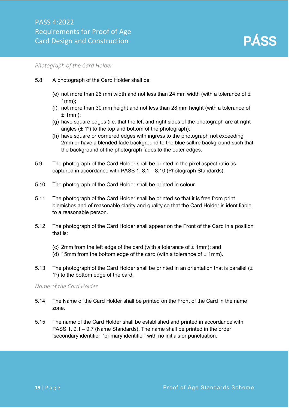

#### *Photograph of the Card Holder*

- 5.8 A photograph of the Card Holder shall be:
	- (e) not more than 26 mm width and not less than 24 mm width (with a tolerance of  $\pm$ 1mm);
	- (f) not more than 30 mm height and not less than 28 mm height (with a tolerance of  $± 1mm$ :
	- (g) have square edges (i.e. that the left and right sides of the photograph are at right angles  $(\pm 1^{\circ})$  to the top and bottom of the photograph);
	- (h) have square or cornered edges with ingress to the photograph not exceeding 2mm or have a blended fade background to the blue saltire background such that the background of the photograph fades to the outer edges.
- 5.9 The photograph of the Card Holder shall be printed in the pixel aspect ratio as captured in accordance with PASS 1, 8.1 – 8.10 (Photograph Standards).
- 5.10 The photograph of the Card Holder shall be printed in colour.
- 5.11 The photograph of the Card Holder shall be printed so that it is free from print blemishes and of reasonable clarity and quality so that the Card Holder is identifiable to a reasonable person.
- 5.12 The photograph of the Card Holder shall appear on the Front of the Card in a position that is:
	- (c) 2mm from the left edge of the card (with a tolerance of  $\pm$  1mm); and
	- (d) 15mm from the bottom edge of the card (with a tolerance of  $\pm$  1mm).
- 5.13 The photograph of the Card Holder shall be printed in an orientation that is parallel  $(\pm)$ 1°) to the bottom edge of the card.

*Name of the Card Holder*

- 5.14 The Name of the Card Holder shall be printed on the Front of the Card in the name zone.
- 5.15 The name of the Card Holder shall be established and printed in accordance with PASS 1, 9.1 – 9.7 (Name Standards). The name shall be printed in the order 'secondary identifier' 'primary identifier' with no initials or punctuation.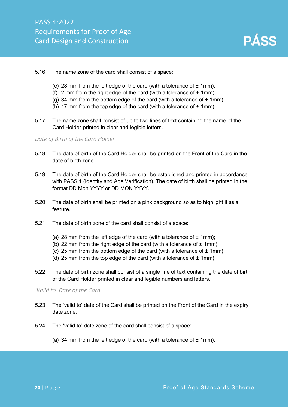

- 5.16 The name zone of the card shall consist of a space:
	- (e) 28 mm from the left edge of the card (with a tolerance of  $\pm$  1mm);
	- (f) 2 mm from the right edge of the card (with a tolerance of  $\pm$  1mm);
	- (g) 34 mm from the bottom edge of the card (with a tolerance of  $\pm$  1mm);
	- (h) 17 mm from the top edge of the card (with a tolerance of  $\pm$  1mm).
- 5.17 The name zone shall consist of up to two lines of text containing the name of the Card Holder printed in clear and legible letters.

#### *Date of Birth of the Card Holder*

- 5.18 The date of birth of the Card Holder shall be printed on the Front of the Card in the date of birth zone.
- 5.19 The date of birth of the Card Holder shall be established and printed in accordance with PASS 1 (Identity and Age Verification). The date of birth shall be printed in the format DD Mon YYYY or DD MON YYYY.
- 5.20 The date of birth shall be printed on a pink background so as to highlight it as a feature.
- 5.21 The date of birth zone of the card shall consist of a space:
	- (a) 28 mm from the left edge of the card (with a tolerance of  $\pm$  1mm);
	- (b) 22 mm from the right edge of the card (with a tolerance of  $\pm$  1mm);
	- (c) 25 mm from the bottom edge of the card (with a tolerance of  $\pm$  1mm);
	- (d) 25 mm from the top edge of the card (with a tolerance of  $\pm$  1mm).
- 5.22 The date of birth zone shall consist of a single line of text containing the date of birth of the Card Holder printed in clear and legible numbers and letters.

#### *'Valid to' Date of the Card*

- 5.23 The 'valid to' date of the Card shall be printed on the Front of the Card in the expiry date zone.
- 5.24 The 'valid to' date zone of the card shall consist of a space:
	- (a) 34 mm from the left edge of the card (with a tolerance of  $\pm$  1mm);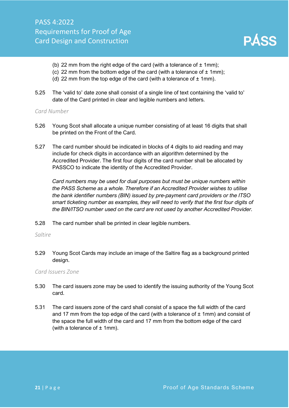- (b) 22 mm from the right edge of the card (with a tolerance of  $\pm$  1mm);
- (c) 22 mm from the bottom edge of the card (with a tolerance of  $\pm$  1mm);
- (d) 22 mm from the top edge of the card (with a tolerance of  $\pm$  1mm).
- 5.25 The 'valid to' date zone shall consist of a single line of text containing the 'valid to' date of the Card printed in clear and legible numbers and letters.

#### *Card Number*

- 5.26 Young Scot shall allocate a unique number consisting of at least 16 digits that shall be printed on the Front of the Card.
- 5.27 The card number should be indicated in blocks of 4 digits to aid reading and may include for check digits in accordance with an algorithm determined by the Accredited Provider. The first four digits of the card number shall be allocated by PASSCO to indicate the identity of the Accredited Provider.

*Card numbers may be used for dual purposes but must be unique numbers within the PASS Scheme as a whole. Therefore if an Accredited Provider wishes to utilise the bank identifier numbers (BIN) issued by pre-payment card providers or the ITSO smart ticketing number as examples, they will need to verify that the first four digits of the BIN/ITSO number used on the card are not used by another Accredited Provider.*

5.28 The card number shall be printed in clear legible numbers.

#### *Saltire*

5.29 Young Scot Cards may include an image of the Saltire flag as a background printed design.

#### *Card Issuers Zone*

- 5.30 The card issuers zone may be used to identify the issuing authority of the Young Scot card.
- 5.31 The card issuers zone of the card shall consist of a space the full width of the card and 17 mm from the top edge of the card (with a tolerance of  $\pm$  1mm) and consist of the space the full width of the card and 17 mm from the bottom edge of the card (with a tolerance of  $±$  1mm).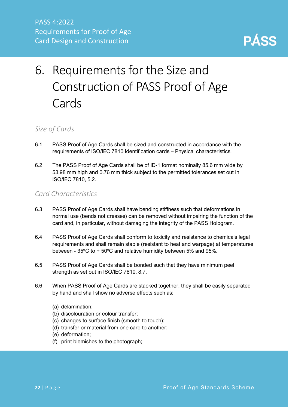

# <span id="page-22-0"></span>6. Requirements for the Size and Construction of PASS Proof of Age **Cards**

#### <span id="page-22-1"></span>*Size of Cards*

- 6.1 PASS Proof of Age Cards shall be sized and constructed in accordance with the requirements of ISO/IEC 7810 Identification cards – Physical characteristics.
- 6.2 The PASS Proof of Age Cards shall be of ID-1 format nominally 85.6 mm wide by 53.98 mm high and 0.76 mm thick subject to the permitted tolerances set out in ISO/IEC 7810, 5.2.

#### <span id="page-22-2"></span>*Card Characteristics*

- 6.3 PASS Proof of Age Cards shall have bending stiffness such that deformations in normal use (bends not creases) can be removed without impairing the function of the card and, in particular, without damaging the integrity of the PASS Hologram.
- 6.4 PASS Proof of Age Cards shall conform to toxicity and resistance to chemicals legal requirements and shall remain stable (resistant to heat and warpage) at temperatures between - 35°C to + 50°C and relative humidity between 5% and 95%.
- 6.5 PASS Proof of Age Cards shall be bonded such that they have minimum peel strength as set out in ISO/IEC 7810, 8.7.
- 6.6 When PASS Proof of Age Cards are stacked together, they shall be easily separated by hand and shall show no adverse effects such as:
	- (a) delamination;
	- (b) discolouration or colour transfer;
	- (c) changes to surface finish (smooth to touch);
	- (d) transfer or material from one card to another;
	- (e) deformation;
	- (f) print blemishes to the photograph;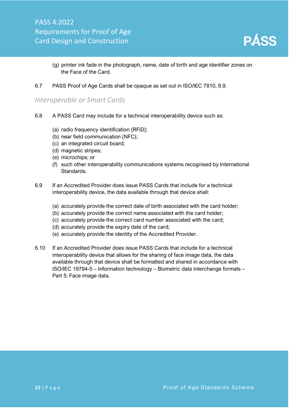

- (g) printer ink fade in the photograph, name, date of birth and age identifier zones on the Face of the Card.
- 6.7 PASS Proof of Age Cards shall be opaque as set out in ISO/IEC 7810, 8.9.

#### <span id="page-23-0"></span>*Interoperable or Smart Cards*

- 6.8 A PASS Card may include for a technical interoperability device such as:
	- (a) radio frequency identification (RFiD);
	- (b) near field communication (NFC);
	- (c) an integrated circuit board;
	- (d) magnetic stripes;
	- (e) microchips; or
	- (f) such other interoperability communications systems recognised by International Standards.
- 6.9 If an Accredited Provider does issue PASS Cards that include for a technical interoperability device, the data available through that device shall:
	- (a) accurately provide the correct date of birth associated with the card holder;
	- (b) accurately provide the correct name associated with the card holder;
	- (c) accurately provide the correct card number associated with the card;
	- (d) accurately provide the expiry date of the card;
	- (e) accurately provide the identity of the Accredited Provider.
- 6.10 If an Accredited Provider does issue PASS Cards that include for a technical interoperability device that allows for the sharing of face image data, the data available through that device shall be formatted and shared in accordance with ISO/IEC 19794-5 – Information technology – Biometric data interchange formats – Part 5: Face image data.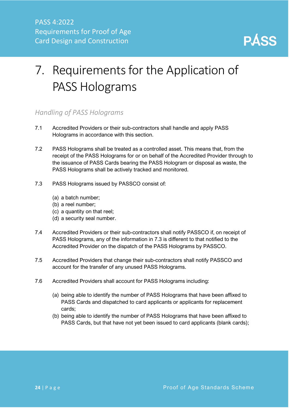

# <span id="page-24-0"></span>7. Requirements for the Application of PASS Holograms

#### <span id="page-24-1"></span>*Handling of PASS Holograms*

- 7.1 Accredited Providers or their sub-contractors shall handle and apply PASS Holograms in accordance with this section.
- 7.2 PASS Holograms shall be treated as a controlled asset. This means that, from the receipt of the PASS Holograms for or on behalf of the Accredited Provider through to the issuance of PASS Cards bearing the PASS Hologram or disposal as waste, the PASS Holograms shall be actively tracked and monitored.
- 7.3 PASS Holograms issued by PASSCO consist of:
	- (a) a batch number;
	- (b) a reel number;
	- (c) a quantity on that reel;
	- (d) a security seal number.
- 7.4 Accredited Providers or their sub-contractors shall notify PASSCO if, on receipt of PASS Holograms, any of the information in 7.3 is different to that notified to the Accredited Provider on the dispatch of the PASS Holograms by PASSCO.
- 7.5 Accredited Providers that change their sub-contractors shall notify PASSCO and account for the transfer of any unused PASS Holograms.
- 7.6 Accredited Providers shall account for PASS Holograms including:
	- (a) being able to identify the number of PASS Holograms that have been affixed to PASS Cards and dispatched to card applicants or applicants for replacement cards;
	- (b) being able to identify the number of PASS Holograms that have been affixed to PASS Cards, but that have not yet been issued to card applicants (blank cards);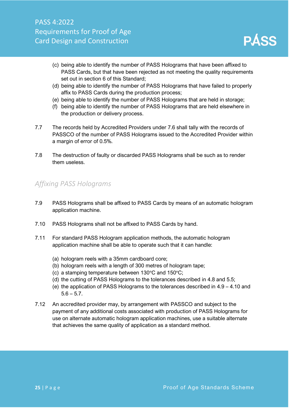

- (c) being able to identify the number of PASS Holograms that have been affixed to PASS Cards, but that have been rejected as not meeting the quality requirements set out in section 6 of this Standard;
- (d) being able to identify the number of PASS Holograms that have failed to properly affix to PASS Cards during the production process;
- (e) being able to identify the number of PASS Holograms that are held in storage;
- (f) being able to identify the number of PASS Holograms that are held elsewhere in the production or delivery process.
- 7.7 The records held by Accredited Providers under 7.6 shall tally with the records of PASSCO of the number of PASS Holograms issued to the Accredited Provider within a margin of error of 0.5%.
- 7.8 The destruction of faulty or discarded PASS Holograms shall be such as to render them useless.

#### <span id="page-25-0"></span>*Affixing PASS Holograms*

- 7.9 PASS Holograms shall be affixed to PASS Cards by means of an automatic hologram application machine.
- 7.10 PASS Holograms shall not be affixed to PASS Cards by hand.
- 7.11 For standard PASS Hologram application methods, the automatic hologram application machine shall be able to operate such that it can handle:
	- (a) hologram reels with a 35mm cardboard core;
	- (b) hologram reels with a length of 300 metres of hologram tape;
	- (c) a stamping temperature between 130°C and 150°C;
	- (d) the cutting of PASS Holograms to the tolerances described in 4.8 and 5.5;
	- (e) the application of PASS Holograms to the tolerances described in 4.9 4.10 and  $5.6 - 5.7$ .
- 7.12 An accredited provider may, by arrangement with PASSCO and subject to the payment of any additional costs associated with production of PASS Holograms for use on alternate automatic hologram application machines, use a suitable alternate that achieves the same quality of application as a standard method.